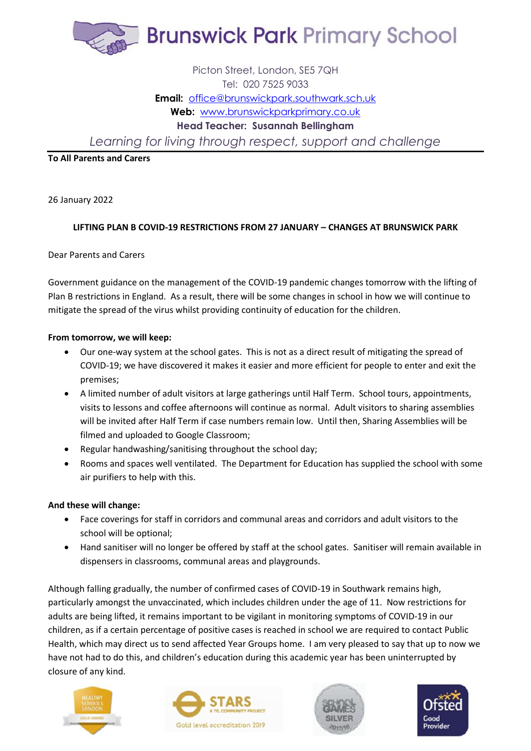

# Picton Street, London, SE5 7QH Tel: 020 7525 9033 **Email:** [office@brunswickpark.southwark.sch.uk](mailto:office@brunswickpark.southwark.sch.uk) **Web:** [www.brunswickparkprimary.co.uk](http://www.brunswickparkprimary.co.uk/) **Head Teacher: Susannah Bellingham**

*Learning for living through respect, support and challenge*

# **To All Parents and Carers**

26 January 2022

# **LIFTING PLAN B COVID-19 RESTRICTIONS FROM 27 JANUARY – CHANGES AT BRUNSWICK PARK**

### Dear Parents and Carers

Government guidance on the management of the COVID-19 pandemic changes tomorrow with the lifting of Plan B restrictions in England. As a result, there will be some changes in school in how we will continue to mitigate the spread of the virus whilst providing continuity of education for the children.

### **From tomorrow, we will keep:**

- Our one-way system at the school gates. This is not as a direct result of mitigating the spread of COVID-19; we have discovered it makes it easier and more efficient for people to enter and exit the premises;
- A limited number of adult visitors at large gatherings until Half Term. School tours, appointments, visits to lessons and coffee afternoons will continue as normal. Adult visitors to sharing assemblies will be invited after Half Term if case numbers remain low. Until then, Sharing Assemblies will be filmed and uploaded to Google Classroom;
- Regular handwashing/sanitising throughout the school day;
- Rooms and spaces well ventilated. The Department for Education has supplied the school with some air purifiers to help with this.

### **And these will change:**

- Face coverings for staff in corridors and communal areas and corridors and adult visitors to the school will be optional;
- Hand sanitiser will no longer be offered by staff at the school gates. Sanitiser will remain available in dispensers in classrooms, communal areas and playgrounds.

Although falling gradually, the number of confirmed cases of COVID-19 in Southwark remains high, particularly amongst the unvaccinated, which includes children under the age of 11. Now restrictions for adults are being lifted, it remains important to be vigilant in monitoring symptoms of COVID-19 in our children, as if a certain percentage of positive cases is reached in school we are required to contact Public Health, which may direct us to send affected Year Groups home. I am very pleased to say that up to now we have not had to do this, and children's education during this academic year has been uninterrupted by closure of any kind.